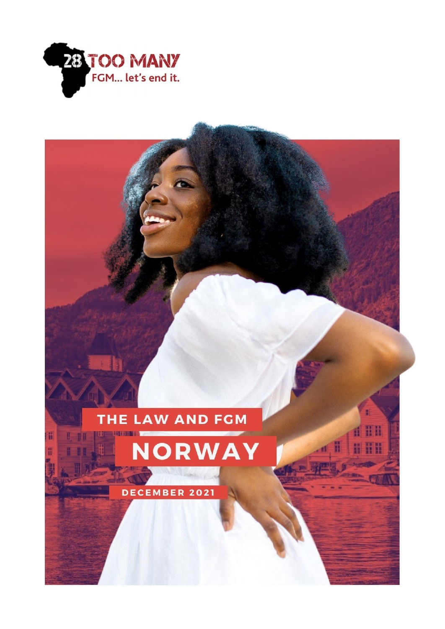

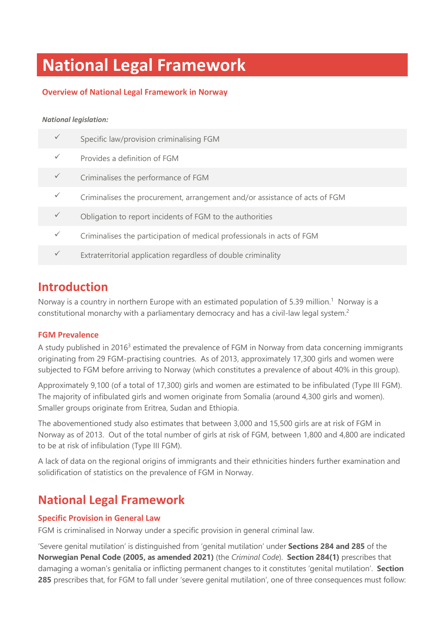# **National Legal Framework**

#### **Overview of National Legal Framework in Norway**

#### *National legislation:*

| Specific law/provision criminalising FGM                                   |
|----------------------------------------------------------------------------|
| Provides a definition of FGM                                               |
| Criminalises the performance of FGM                                        |
| Criminalises the procurement, arrangement and/or assistance of acts of FGM |
| Obligation to report incidents of FGM to the authorities                   |
| Criminalises the participation of medical professionals in acts of FGM     |
| Extraterritorial application regardless of double criminality              |
|                                                                            |

### **Introduction**

Norway is a country in northern Europe with an estimated population of 5.39 million.<sup>1</sup> Norway is a constitutional monarchy with a parliamentary democracy and has a civil-law legal system.<sup>2</sup>

#### **FGM Prevalence**

A study published in 2016<sup>3</sup> estimated the prevalence of FGM in Norway from data concerning immigrants originating from 29 FGM-practising countries. As of 2013, approximately 17,300 girls and women were subjected to FGM before arriving to Norway (which constitutes a prevalence of about 40% in this group).

Approximately 9,100 (of a total of 17,300) girls and women are estimated to be infibulated (Type III FGM). The majority of infibulated girls and women originate from Somalia (around 4,300 girls and women). Smaller groups originate from Eritrea, Sudan and Ethiopia.

The abovementioned study also estimates that between 3,000 and 15,500 girls are at risk of FGM in Norway as of 2013. Out of the total number of girls at risk of FGM, between 1,800 and 4,800 are indicated to be at risk of infibulation (Type III FGM).

A lack of data on the regional origins of immigrants and their ethnicities hinders further examination and solidification of statistics on the prevalence of FGM in Norway.

## **National Legal Framework**

#### **Specific Provision in General Law**

FGM is criminalised in Norway under a specific provision in general criminal law.

'Severe genital mutilation' is distinguished from 'genital mutilation' under **Sections 284 and 285** of the **Norwegian Penal Code (2005, as amended 2021)** (the *Criminal Code*). **Section 284(1)** prescribes that damaging a woman's genitalia or inflicting permanent changes to it constitutes 'genital mutilation'. **Section 285** prescribes that, for FGM to fall under 'severe genital mutilation', one of three consequences must follow: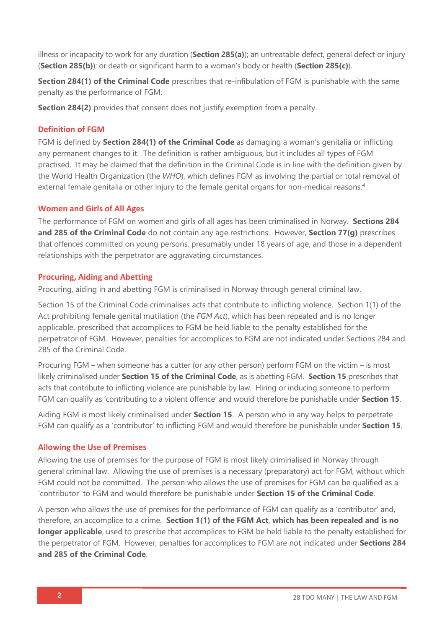illness or incapacity to work for any duration (**Section 285(a)**); an untreatable defect, general defect or injury (**Section 285(b)**); or death or significant harm to a woman's body or health (**Section 285(c)**).

**Section 284(1) of the Criminal Code** prescribes that re-infibulation of FGM is punishable with the same penalty as the performance of FGM.

**Section 284(2)** provides that consent does not justify exemption from a penalty.

#### **Definition of FGM**

FGM is defined by **Section 284(1) of the Criminal Code** as damaging a woman's genitalia or inflicting any permanent changes to it. The definition is rather ambiguous, but it includes all types of FGM practised. It may be claimed that the definition in the Criminal Code is in line with the definition given by the World Health Organization (the *WHO*), which defines FGM as involving the partial or total removal of external female genitalia or other injury to the female genital organs for non-medical reasons.<sup>4</sup>

#### **Women and Girls of All Ages**

The performance of FGM on women and girls of all ages has been criminalised in Norway. **Sections 284 and 285 of the Criminal Code** do not contain any age restrictions. However, **Section 77(g)** prescribes that offences committed on young persons, presumably under 18 years of age, and those in a dependent relationships with the perpetrator are aggravating circumstances.

#### **Procuring, Aiding and Abetting**

Procuring, aiding in and abetting FGM is criminalised in Norway through general criminal law.

Section 15 of the Criminal Code criminalises acts that contribute to inflicting violence. Section 1(1) of the Act prohibiting female genital mutilation (the *FGM Act*), which has been repealed and is no longer applicable, prescribed that accomplices to FGM be held liable to the penalty established for the perpetrator of FGM. However, penalties for accomplices to FGM are not indicated under Sections 284 and 285 of the Criminal Code.

Procuring FGM – when someone has a cutter (or any other person) perform FGM on the victim – is most likely criminalised under **Section 15 of the Criminal Code**, as is abetting FGM. **Section 15** prescribes that acts that contribute to inflicting violence are punishable by law. Hiring or inducing someone to perform FGM can qualify as 'contributing to a violent offence' and would therefore be punishable under **Section 15**.

Aiding FGM is most likely criminalised under **Section 15**. A person who in any way helps to perpetrate FGM can qualify as a 'contributor' to inflicting FGM and would therefore be punishable under **Section 15**.

#### **Allowing the Use of Premises**

Allowing the use of premises for the purpose of FGM is most likely criminalised in Norway through general criminal law. Allowing the use of premises is a necessary (preparatory) act for FGM, without which FGM could not be committed. The person who allows the use of premises for FGM can be qualified as a 'contributor' to FGM and would therefore be punishable under **Section 15 of the Criminal Code**.

A person who allows the use of premises for the performance of FGM can qualify as a 'contributor' and, therefore, an accomplice to a crime. **Section 1(1) of the FGM Act**, **which has been repealed and is no longer applicable**, used to prescribe that accomplices to FGM be held liable to the penalty established for the perpetrator of FGM. However, penalties for accomplices to FGM are not indicated under **Sections 284 and 285 of the Criminal Code**.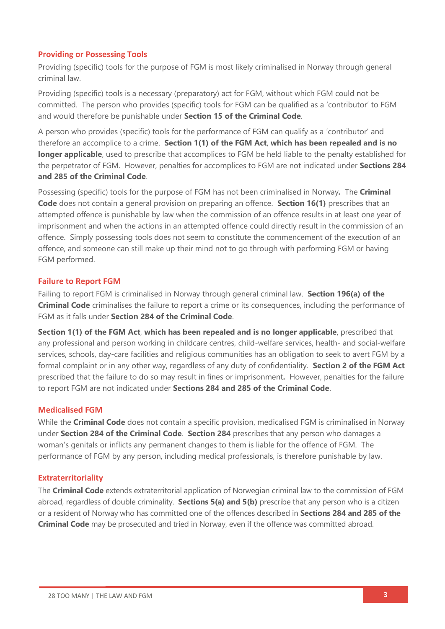#### **Providing or Possessing Tools**

Providing (specific) tools for the purpose of FGM is most likely criminalised in Norway through general criminal law.

Providing (specific) tools is a necessary (preparatory) act for FGM, without which FGM could not be committed. The person who provides (specific) tools for FGM can be qualified as a 'contributor' to FGM and would therefore be punishable under **Section 15 of the Criminal Code**.

A person who provides (specific) tools for the performance of FGM can qualify as a 'contributor' and therefore an accomplice to a crime. **Section 1(1) of the FGM Act**, **which has been repealed and is no longer applicable**, used to prescribe that accomplices to FGM be held liable to the penalty established for the perpetrator of FGM. However, penalties for accomplices to FGM are not indicated under **Sections 284 and 285 of the Criminal Code**.

Possessing (specific) tools for the purpose of FGM has not been criminalised in Norway*.* The **Criminal Code** does not contain a general provision on preparing an offence. **Section 16(1)** prescribes that an attempted offence is punishable by law when the commission of an offence results in at least one year of imprisonment and when the actions in an attempted offence could directly result in the commission of an offence. Simply possessing tools does not seem to constitute the commencement of the execution of an offence, and someone can still make up their mind not to go through with performing FGM or having FGM performed.

#### **Failure to Report FGM**

Failing to report FGM is criminalised in Norway through general criminal law. **Section 196(a) of the Criminal Code** criminalises the failure to report a crime or its consequences, including the performance of FGM as it falls under **Section 284 of the Criminal Code**.

**Section 1(1) of the FGM Act**, **which has been repealed and is no longer applicable**, prescribed that any professional and person working in childcare centres, child-welfare services, health- and social-welfare services, schools, day-care facilities and religious communities has an obligation to seek to avert FGM by a formal complaint or in any other way, regardless of any duty of confidentiality. **Section 2 of the FGM Act** prescribed that the failure to do so may result in fines or imprisonment**.** However, penalties for the failure to report FGM are not indicated under **Sections 284 and 285 of the Criminal Code**.

#### **Medicalised FGM**

While the **Criminal Code** does not contain a specific provision, medicalised FGM is criminalised in Norway under **Section 284 of the Criminal Code**. **Section 284** prescribes that any person who damages a woman's genitals or inflicts any permanent changes to them is liable for the offence of FGM. The performance of FGM by any person, including medical professionals, is therefore punishable by law.

#### **Extraterritoriality**

The **Criminal Code** extends extraterritorial application of Norwegian criminal law to the commission of FGM abroad, regardless of double criminality. **Sections 5(a) and 5(b)** prescribe that any person who is a citizen or a resident of Norway who has committed one of the offences described in **Sections 284 and 285 of the Criminal Code** may be prosecuted and tried in Norway, even if the offence was committed abroad.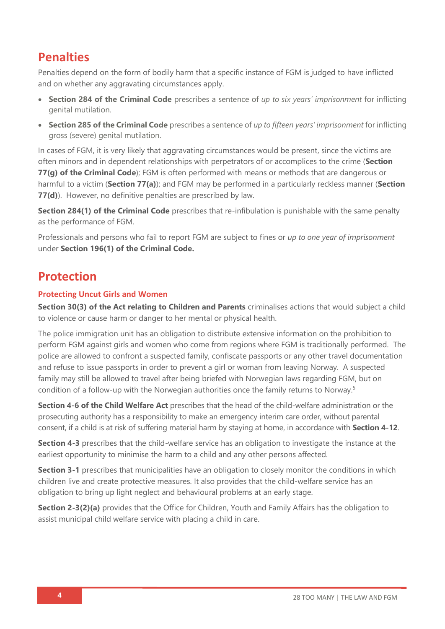## **Penalties**

Penalties depend on the form of bodily harm that a specific instance of FGM is judged to have inflicted and on whether any aggravating circumstances apply.

- **Section 284 of the Criminal Code** prescribes a sentence of *up to six years' imprisonment* for inflicting genital mutilation.
- **Section 285 of the Criminal Code** prescribes a sentence of *up to fifteen years' imprisonment* for inflicting gross (severe) genital mutilation.

In cases of FGM, it is very likely that aggravating circumstances would be present, since the victims are often minors and in dependent relationships with perpetrators of or accomplices to the crime (**Section 77(g) of the Criminal Code**); FGM is often performed with means or methods that are dangerous or harmful to a victim (**Section 77(a)**); and FGM may be performed in a particularly reckless manner (**Section 77(d)**). However, no definitive penalties are prescribed by law.

**Section 284(1) of the Criminal Code** prescribes that re-infibulation is punishable with the same penalty as the performance of FGM.

Professionals and persons who fail to report FGM are subject to fines or *up to one year of imprisonment* under **Section 196(1) of the Criminal Code.**

## **Protection**

#### **Protecting Uncut Girls and Women**

**Section 30(3) of the Act relating to Children and Parents** criminalises actions that would subject a child to violence or cause harm or danger to her mental or physical health.

The police immigration unit has an obligation to distribute extensive information on the prohibition to perform FGM against girls and women who come from regions where FGM is traditionally performed. The police are allowed to confront a suspected family, confiscate passports or any other travel documentation and refuse to issue passports in order to prevent a girl or woman from leaving Norway. A suspected family may still be allowed to travel after being briefed with Norwegian laws regarding FGM, but on condition of a follow-up with the Norwegian authorities once the family returns to Norway.<sup>5</sup>

**Section 4-6 of the Child Welfare Act** prescribes that the head of the child-welfare administration or the prosecuting authority has a responsibility to make an emergency interim care order, without parental consent, if a child is at risk of suffering material harm by staying at home, in accordance with **Section 4-12**.

**Section 4-3** prescribes that the child-welfare service has an obligation to investigate the instance at the earliest opportunity to minimise the harm to a child and any other persons affected.

**Section 3-1** prescribes that municipalities have an obligation to closely monitor the conditions in which children live and create protective measures. It also provides that the child-welfare service has an obligation to bring up light neglect and behavioural problems at an early stage.

**Section 2-3(2)(a)** provides that the Office for Children, Youth and Family Affairs has the obligation to assist municipal child welfare service with placing a child in care.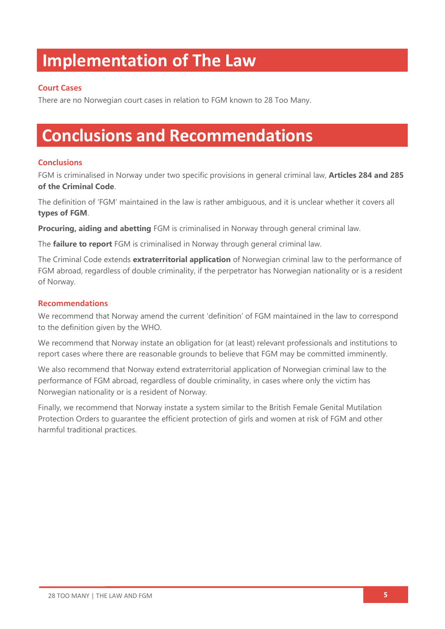## **Implementation of The Law**

#### **Court Cases**

There are no Norwegian court cases in relation to FGM known to 28 Too Many.

## **Conclusions and Recommendations**

#### **Conclusions**

FGM is criminalised in Norway under two specific provisions in general criminal law, **Articles 284 and 285 of the Criminal Code**.

The definition of 'FGM' maintained in the law is rather ambiguous, and it is unclear whether it covers all **types of FGM**.

**Procuring, aiding and abetting** FGM is criminalised in Norway through general criminal law.

The **failure to report** FGM is criminalised in Norway through general criminal law.

The Criminal Code extends **extraterritorial application** of Norwegian criminal law to the performance of FGM abroad, regardless of double criminality, if the perpetrator has Norwegian nationality or is a resident of Norway.

#### **Recommendations**

We recommend that Norway amend the current 'definition' of FGM maintained in the law to correspond to the definition given by the WHO.

We recommend that Norway instate an obligation for (at least) relevant professionals and institutions to report cases where there are reasonable grounds to believe that FGM may be committed imminently.

We also recommend that Norway extend extraterritorial application of Norwegian criminal law to the performance of FGM abroad, regardless of double criminality, in cases where only the victim has Norwegian nationality or is a resident of Norway.

Finally, we recommend that Norway instate a system similar to the British Female Genital Mutilation Protection Orders to guarantee the efficient protection of girls and women at risk of FGM and other harmful traditional practices.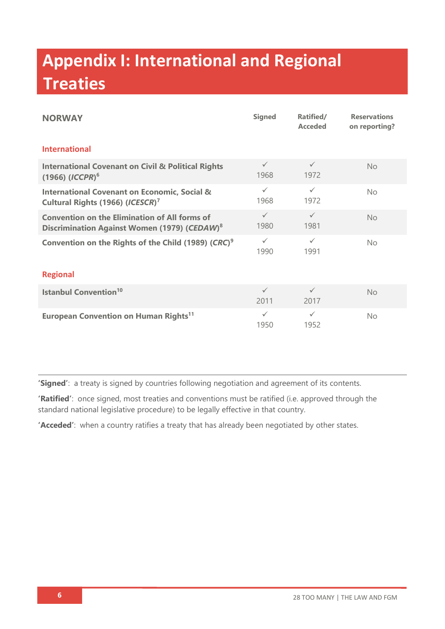# **Appendix I: International and Regional Treaties**

| <b>NORWAY</b>                                                                                                    | <b>Signed</b>        | Ratified/<br><b>Acceded</b> | <b>Reservations</b><br>on reporting? |  |  |
|------------------------------------------------------------------------------------------------------------------|----------------------|-----------------------------|--------------------------------------|--|--|
| <b>International</b>                                                                                             |                      |                             |                                      |  |  |
| <b>International Covenant on Civil &amp; Political Rights</b><br>$(1966)$ (ICCPR) <sup>6</sup>                   | $\checkmark$<br>1968 | $\checkmark$<br>1972        | No                                   |  |  |
| <b>International Covenant on Economic, Social &amp;</b><br>Cultural Rights (1966) (ICESCR) <sup>7</sup>          | $\checkmark$<br>1968 | $\checkmark$<br>1972        | <b>No</b>                            |  |  |
| <b>Convention on the Elimination of All forms of</b><br>Discrimination Against Women (1979) (CEDAW) <sup>8</sup> | $\checkmark$<br>1980 | $\checkmark$<br>1981        | <b>No</b>                            |  |  |
| Convention on the Rights of the Child (1989) (CRC) <sup>9</sup>                                                  | $\checkmark$<br>1990 | $\checkmark$<br>1991        | <b>No</b>                            |  |  |
| <b>Regional</b>                                                                                                  |                      |                             |                                      |  |  |
| <b>Istanbul Convention<sup>10</sup></b>                                                                          | $\checkmark$<br>2011 | $\checkmark$<br>2017        | No                                   |  |  |
| European Convention on Human Rights <sup>11</sup>                                                                | $\checkmark$<br>1950 | $\checkmark$<br>1952        | No.                                  |  |  |

**'Signed'**: a treaty is signed by countries following negotiation and agreement of its contents.

**'Ratified'**: once signed, most treaties and conventions must be ratified (i.e. approved through the standard national legislative procedure) to be legally effective in that country.

**'Acceded'**: when a country ratifies a treaty that has already been negotiated by other states.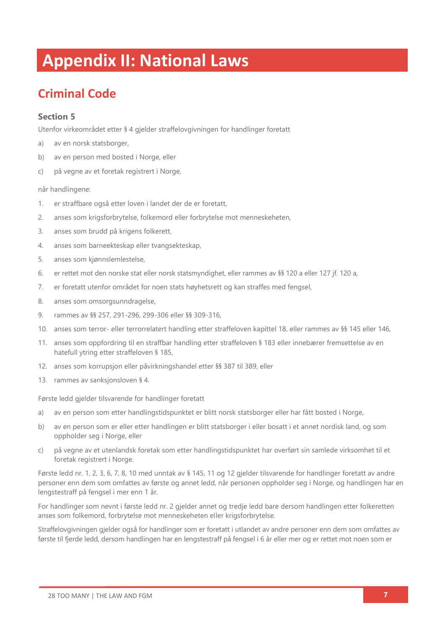## **Appendix II: National Laws**

## **Criminal Code**

#### **Section 5**

Utenfor virkeområdet etter § 4 gjelder straffelovgivningen for handlinger foretatt

- a) av en norsk statsborger,
- b) av en person med bosted i Norge, eller
- c) på vegne av et foretak registrert i Norge,

#### når handlingene:

- 1. er straffbare også etter loven i landet der de er foretatt,
- 2. anses som krigsforbrytelse, folkemord eller forbrytelse mot menneskeheten,
- 3. anses som brudd på krigens folkerett,
- 4. anses som barneekteskap eller tvangsekteskap,
- 5. anses som kjønnslemlestelse,
- 6. er rettet mot den norske stat eller norsk statsmyndighet, eller rammes av §§ 120 a eller [127](about:blank) jf. [120 a,](about:blank)
- 7. er foretatt utenfor området for noen stats høyhetsrett og kan straffes med fengsel,
- 8. anses som omsorgsunndragelse,
- 9. rammes av §§ 257, 291-296, 299-306 eller §§ 309-316,
- 10. anses som terror- eller terrorrelatert handling etter [straffeloven kapittel 18,](about:blank) eller rammes av §§ 145 eller [146,](about:blank)
- 11. anses som oppfordring til en straffbar handling etter straffeloven § 183 eller innebærer fremsettelse av en hatefull ytring etter straffeloven § 185,
- 12. anses som korrupsjon eller påvirkningshandel etter §§ 387 til [389,](about:blank) eller
- 13. rammes av sanksjonsloven § 4.

Første ledd gjelder tilsvarende for handlinger foretatt

- a) av en person som etter handlingstidspunktet er blitt norsk statsborger eller har fått bosted i Norge,
- b) av en person som er eller etter handlingen er blitt statsborger i eller bosatt i et annet nordisk land, og som oppholder seg i Norge, eller
- c) på vegne av et utenlandsk foretak som etter handlingstidspunktet har overført sin samlede virksomhet til et foretak registrert i Norge.

Første ledd nr. 1, 2, 3, 6, 7, 8, 10 med unntak av § 145, 11 og 12 gjelder tilsvarende for handlinger foretatt av andre personer enn dem som omfattes av første og annet ledd, når personen oppholder seg i Norge, og handlingen har en lengstestraff på fengsel i mer enn 1 år.

For handlinger som nevnt i første ledd nr. 2 gjelder annet og tredje ledd bare dersom handlingen etter folkeretten anses som folkemord, forbrytelse mot menneskeheten eller krigsforbrytelse.

Straffelovgivningen gjelder også for handlinger som er foretatt i utlandet av andre personer enn dem som omfattes av første til fjerde ledd, dersom handlingen har en lengstestraff på fengsel i 6 år eller mer og er rettet mot noen som er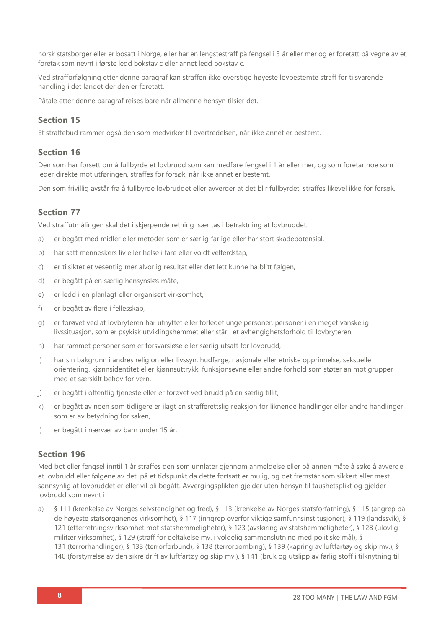norsk statsborger eller er bosatt i Norge, eller har en lengstestraff på fengsel i 3 år eller mer og er foretatt på vegne av et foretak som nevnt i første ledd bokstav c eller annet ledd bokstav c.

Ved strafforfølgning etter denne paragraf kan straffen ikke overstige høyeste lovbestemte straff for tilsvarende handling i det landet der den er foretatt.

Påtale etter denne paragraf reises bare når allmenne hensyn tilsier det.

#### **Section 15**

Et straffebud rammer også den som medvirker til overtredelsen, når ikke annet er bestemt.

#### **Section 16**

Den som har forsett om å fullbyrde et lovbrudd som kan medføre fengsel i 1 år eller mer, og som foretar noe som leder direkte mot utføringen, straffes for forsøk, når ikke annet er bestemt.

Den som frivillig avstår fra å fullbyrde lovbruddet eller avverger at det blir fullbyrdet, straffes likevel ikke for forsøk.

#### **Section 77**

Ved straffutmålingen skal det i skjerpende retning især tas i betraktning at lovbruddet:

- a) er begått med midler eller metoder som er særlig farlige eller har stort skadepotensial,
- b) har satt menneskers liv eller helse i fare eller voldt velferdstap,
- c) er tilsiktet et vesentlig mer alvorlig resultat eller det lett kunne ha blitt følgen,
- d) er begått på en særlig hensynsløs måte,
- e) er ledd i en planlagt eller organisert virksomhet,
- f) er begått av flere i fellesskap,
- g) er forøvet ved at lovbryteren har utnyttet eller forledet unge personer, personer i en meget vanskelig livssituasjon, som er psykisk utviklingshemmet eller står i et avhengighetsforhold til lovbryteren,
- h) har rammet personer som er forsvarsløse eller særlig utsatt for lovbrudd,
- i) har sin bakgrunn i andres religion eller livssyn, hudfarge, nasjonale eller etniske opprinnelse, seksuelle orientering, kjønnsidentitet eller kjønnsuttrykk, funksjonsevne eller andre forhold som støter an mot grupper med et særskilt behov for vern,
- j) er begått i offentlig tjeneste eller er forøvet ved brudd på en særlig tillit,
- k) er begått av noen som tidligere er ilagt en strafferettslig reaksjon for liknende handlinger eller andre handlinger som er av betydning for saken,
- l) er begått i nærvær av barn under 15 år.

#### **Section 196**

Med bot eller fengsel inntil 1 år straffes den som unnlater gjennom anmeldelse eller på annen måte å søke å avverge et lovbrudd eller følgene av det, på et tidspunkt da dette fortsatt er mulig, og det fremstår som sikkert eller mest sannsynlig at lovbruddet er eller vil bli begått. Avvergingsplikten gjelder uten hensyn til taushetsplikt og gjelder lovbrudd som nevnt i

a) § 111 (krenkelse av Norges selvstendighet og fred), [§ 113](about:blank) (krenkelse av Norges statsforfatning), [§ 115](about:blank) (angrep på de høyeste statsorganenes virksomhet), [§ 117](about:blank) (inngrep overfor viktige samfunnsinstitusjoner), [§ 119](about:blank) (landssvik), [§](about:blank)  [121](about:blank) (etterretningsvirksomhet mot statshemmeligheter), [§ 123](about:blank) (avsløring av statshemmeligheter), [§ 128](about:blank) (ulovlig militær virksomhet), [§ 129](about:blank) (straff for deltakelse mv. i voldelig sammenslutning med politiske mål), [§](about:blank)  [131](about:blank) (terrorhandlinger), [§ 133](about:blank) (terrorforbund), [§ 138](about:blank) (terrorbombing), [§ 139](about:blank) (kapring av luftfartøy og skip mv.), [§](about:blank)  [140](about:blank) (forstyrrelse av den sikre drift av luftfartøy og skip mv.), [§ 141](about:blank) (bruk og utslipp av farlig stoff i tilknytning til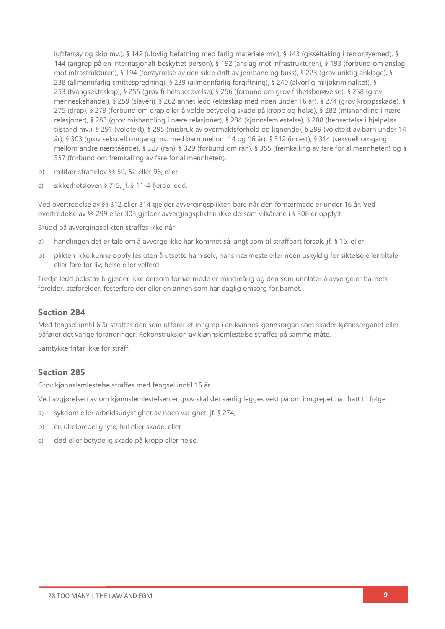luftfartøy og skip mv.), [§ 142](about:blank) (ulovlig befatning med farlig materiale mv.), [§ 143](about:blank) (gisseltaking i terrorøyemed), [§](about:blank)  [144](about:blank) (angrep på en internasjonalt beskyttet person), [§ 192](about:blank) (anslag mot infrastrukturen), [§ 193](about:blank) (forbund om anslag mot infrastrukturen), [§ 194](about:blank) (forstyrrelse av den sikre drift av jernbane og buss), [§ 223](about:blank) (grov uriktig anklage), [§](about:blank)  [238](about:blank) (allmennfarlig smittespredning), [§ 239](about:blank) (allmennfarlig forgiftning), [§ 240](about:blank) (alvorlig miljøkriminalitet), [§](about:blank)  [253](about:blank) (tvangsekteskap), [§ 255](about:blank) (grov frihetsberøvelse), [§ 256](about:blank) (forbund om grov frihetsberøvelse), [§ 258](about:blank) (grov menneskehandel), [§ 259](about:blank) (slaveri), [§ 262](about:blank) annet ledd (ekteskap med noen under 16 år), [§ 274](about:blank) (grov kroppsskade), [§](about:blank)  [275](about:blank) (drap), [§ 279](about:blank) (forbund om drap eller å volde betydelig skade på kropp og helse), [§ 282](about:blank) (mishandling i nære relasjoner), [§ 283](about:blank) (grov mishandling i nære relasjoner), [§ 284](about:blank) (kjønnslemlestelse), [§ 288](about:blank) (hensettelse i hjelpeløs tilstand mv.), [§ 291](about:blank) (voldtekt), [§ 295](about:blank) (misbruk av overmaktsforhold og lignende), [§ 299](about:blank) (voldtekt av barn under 14 år), [§ 303](about:blank) (grov seksuell omgang mv. med barn mellom 14 og 16 år), [§ 312](about:blank) (incest), [§ 314](about:blank) (seksuell omgang mellom andre nærstående), [§ 327](about:blank) (ran), [§ 329](about:blank) (forbund om ran), [§ 355](about:blank) (fremkalling av fare for allmennheten) og [§](about:blank)  [357](about:blank) (forbund om fremkalling av fare for allmennheten),

- b) militær straffelov §§ 50, [52](about:blank) eller [96,](about:blank) eller
- c) sikkerhetsloven § 7-5, jf. [§ 11-4](about:blank) fjerde ledd.

Ved overtredelse av [§§ 312](about:blank) eller [314](about:blank) gjelder avvergingsplikten bare når den fornærmede er under 16 år. Ved overtredelse av [§§ 299](about:blank) eller [303](about:blank) gjelder avvergingsplikten ikke dersom vilkårene i [§ 308](about:blank) er oppfylt.

Brudd på avvergingsplikten straffes ikke når

- a) handlingen det er tale om å avverge ikke har kommet så langt som til straffbart forsøk, jf. [§ 16,](about:blank) eller
- b) plikten ikke kunne oppfylles uten å utsette ham selv, hans nærmeste eller noen uskyldig for siktelse eller tiltale eller fare for liv, helse eller velferd.

Tredje ledd bokstav b gjelder ikke dersom fornærmede er mindreårig og den som unnlater å avverge er barnets forelder, steforelder, fosterforelder eller en annen som har daglig omsorg for barnet.

#### **Section 284**

Med fengsel inntil 6 år straffes den som utfører et inngrep i en kvinnes kjønnsorgan som skader kjønnsorganet eller påfører det varige forandringer. Rekonstruksjon av kjønnslemlestelse straffes på samme måte.

Samtykke fritar ikke for straff.

#### **Section 285**

Grov kjønnslemlestelse straffes med fengsel inntil 15 år.

Ved avgjørelsen av om kjønnslemlestelsen er grov skal det særlig legges vekt på om inngrepet har hatt til følge

- a) sykdom eller arbeidsudyktighet av noen varighet, jf. § 274,
- b) en uhelbredelig lyte, feil eller skade, eller
- c) død eller betydelig skade på kropp eller helse.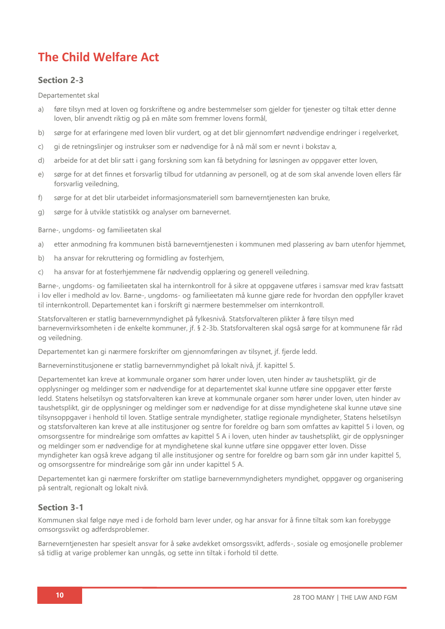## **The Child Welfare Act**

#### **Section 2-3**

Departementet skal

- a) føre tilsyn med at loven og forskriftene og andre bestemmelser som gjelder for tjenester og tiltak etter denne loven, blir anvendt riktig og på en måte som fremmer lovens formål,
- b) sørge for at erfaringene med loven blir vurdert, og at det blir gjennomført nødvendige endringer i regelverket,
- c) gi de retningslinjer og instrukser som er nødvendige for å nå mål som er nevnt i bokstav a,
- d) arbeide for at det blir satt i gang forskning som kan få betydning for løsningen av oppgaver etter loven,
- e) sørge for at det finnes et forsvarlig tilbud for utdanning av personell, og at de som skal anvende loven ellers får forsvarlig veiledning,
- f) sørge for at det blir utarbeidet informasjonsmateriell som barneverntjenesten kan bruke,
- g) sørge for å utvikle statistikk og analyser om barnevernet.

Barne-, ungdoms- og familieetaten skal

- a) etter anmodning fra kommunen bistå barneverntjenesten i kommunen med plassering av barn utenfor hjemmet,
- b) ha ansvar for rekruttering og formidling av fosterhjem,
- c) ha ansvar for at fosterhjemmene får nødvendig opplæring og generell veiledning.

Barne-, ungdoms- og familieetaten skal ha internkontroll for å sikre at oppgavene utføres i samsvar med krav fastsatt i lov eller i medhold av lov. Barne-, ungdoms- og familieetaten må kunne gjøre rede for hvordan den oppfyller kravet til internkontroll. Departementet kan i forskrift gi nærmere bestemmelser om internkontroll.

Statsforvalteren er statlig barnevernmyndighet på fylkesnivå. Statsforvalteren plikter å føre tilsyn med barnevernvirksomheten i de enkelte kommuner, jf. [§ 2-3b.](about:blank) Statsforvalteren skal også sørge for at kommunene får råd og veiledning.

Departementet kan gi nærmere forskrifter om gjennomføringen av tilsynet, jf. fjerde ledd.

Barneverninstitusjonene er statlig barnevernmyndighet på lokalt nivå, jf. [kapittel 5.](about:blank)

Departementet kan kreve at kommunale organer som hører under loven, uten hinder av taushetsplikt, gir de opplysninger og meldinger som er nødvendige for at departementet skal kunne utføre sine oppgaver etter første ledd. Statens helsetilsyn og statsforvalteren kan kreve at kommunale organer som hører under loven, uten hinder av taushetsplikt, gir de opplysninger og meldinger som er nødvendige for at disse myndighetene skal kunne utøve sine tilsynsoppgaver i henhold til loven. Statlige sentrale myndigheter, statlige regionale myndigheter, Statens helsetilsyn og statsforvalteren kan kreve at alle institusjoner og sentre for foreldre og barn som omfattes av kapittel 5 i loven, og omsorgssentre for mindreårige som omfattes av kapittel 5 A i loven, uten hinder av taushetsplikt, gir de opplysninger og meldinger som er nødvendige for at myndighetene skal kunne utføre sine oppgaver etter loven. Disse myndigheter kan også kreve adgang til alle institusjoner og sentre for foreldre og barn som går inn under [kapittel 5,](about:blank)  og omsorgssentre for mindreårige som går inn under kapittel 5 A.

Departementet kan gi nærmere forskrifter om statlige barnevernmyndigheters myndighet, oppgaver og organisering på sentralt, regionalt og lokalt nivå.

#### **Section 3-1**

Kommunen skal følge nøye med i de forhold barn lever under, og har ansvar for å finne tiltak som kan forebygge omsorgssvikt og adferdsproblemer.

Barneverntjenesten har spesielt ansvar for å søke avdekket omsorgssvikt, adferds-, sosiale og emosjonelle problemer så tidlig at varige problemer kan unngås, og sette inn tiltak i forhold til dette.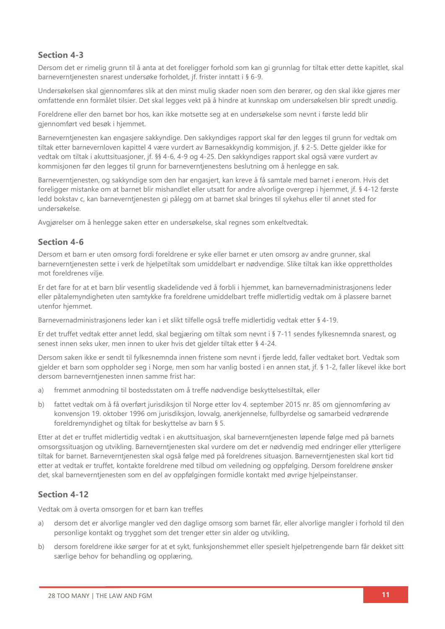#### **Section 4-3**

Dersom det er rimelig grunn til å anta at det foreligger forhold som kan gi grunnlag for tiltak etter dette kapitlet, skal barneverntjenesten snarest undersøke forholdet, jf. frister inntatt i [§ 6-9.](about:blank)

Undersøkelsen skal gjennomføres slik at den minst mulig skader noen som den berører, og den skal ikke gjøres mer omfattende enn formålet tilsier. Det skal legges vekt på å hindre at kunnskap om undersøkelsen blir spredt unødig.

Foreldrene eller den barnet bor hos, kan ikke motsette seg at en undersøkelse som nevnt i første ledd blir gjennomført ved besøk i hjemmet.

Barneverntjenesten kan engasjere sakkyndige. Den sakkyndiges rapport skal før den legges til grunn for vedtak om tiltak etter [barnevernloven kapittel 4](about:blank) være vurdert av Barnesakkyndig kommisjon, jf. [§ 2-5.](about:blank) Dette gjelder ikke for vedtak om tiltak i akuttsituasjoner, jf. [§§ 4-6,](about:blank) [4-9](about:blank) og [4-25.](about:blank) Den sakkyndiges rapport skal også være vurdert av kommisjonen før den legges til grunn for barneverntjenestens beslutning om å henlegge en sak.

Barneverntjenesten, og sakkyndige som den har engasjert, kan kreve å få samtale med barnet i enerom. Hvis det foreligger mistanke om at barnet blir mishandlet eller utsatt for andre alvorlige overgrep i hjemmet, jf. [§ 4-12](about:blank) første ledd bokstav c, kan barneverntjenesten gi pålegg om at barnet skal bringes til sykehus eller til annet sted for undersøkelse.

Avgjørelser om å henlegge saken etter en undersøkelse, skal regnes som enkeltvedtak.

#### **Section 4-6**

Dersom et barn er uten omsorg fordi foreldrene er syke eller barnet er uten omsorg av andre grunner, skal barneverntjenesten sette i verk de hjelpetiltak som umiddelbart er nødvendige. Slike tiltak kan ikke opprettholdes mot foreldrenes vilje.

Er det fare for at et barn blir vesentlig skadelidende ved å forbli i hjemmet, kan barnevernadministrasjonens leder eller påtalemyndigheten uten samtykke fra foreldrene umiddelbart treffe midlertidig vedtak om å plassere barnet utenfor hjemmet.

Barnevernadministrasjonens leder kan i et slikt tilfelle også treffe midlertidig vedtak etter [§ 4-19.](about:blank)

Er det truffet vedtak etter annet ledd, skal begjæring om tiltak som nevnt i [§ 7-11](about:blank) sendes fylkesnemnda snarest, og senest innen seks uker, men innen to uker hvis det gjelder tiltak etter [§ 4-24.](about:blank)

Dersom saken ikke er sendt til fylkesnemnda innen fristene som nevnt i fjerde ledd, faller vedtaket bort. Vedtak som gjelder et barn som oppholder seg i Norge, men som har vanlig bosted i en annen stat, jf. [§ 1-2,](about:blank) faller likevel ikke bort dersom barneverntjenesten innen samme frist har:

- a) fremmet anmodning til bostedsstaten om å treffe nødvendige beskyttelsestiltak, eller
- b) fattet vedtak om å få overført jurisdiksjon til Norge etter [lov 4. september 2015 nr. 85](about:blank) om gjennomføring av konvensjon 19. oktober 1996 om jurisdiksjon, lovvalg, anerkjennelse, fullbyrdelse og samarbeid vedrørende foreldremyndighet og tiltak for beskyttelse av barn § 5.

Etter at det er truffet midlertidig vedtak i en akuttsituasjon, skal barneverntjenesten løpende følge med på barnets omsorgssituasjon og utvikling. Barneverntjenesten skal vurdere om det er nødvendig med endringer eller ytterligere tiltak for barnet. Barneverntjenesten skal også følge med på foreldrenes situasjon. Barneverntjenesten skal kort tid etter at vedtak er truffet, kontakte foreldrene med tilbud om veiledning og oppfølging. Dersom foreldrene ønsker det, skal barneverntjenesten som en del av oppfølgingen formidle kontakt med øvrige hjelpeinstanser.

#### **Section 4-12**

Vedtak om å overta omsorgen for et barn kan treffes

- a) dersom det er alvorlige mangler ved den daglige omsorg som barnet får, eller alvorlige mangler i forhold til den personlige kontakt og trygghet som det trenger etter sin alder og utvikling,
- b) dersom foreldrene ikke sørger for at et sykt, funksjonshemmet eller spesielt hjelpetrengende barn får dekket sitt særlige behov for behandling og opplæring,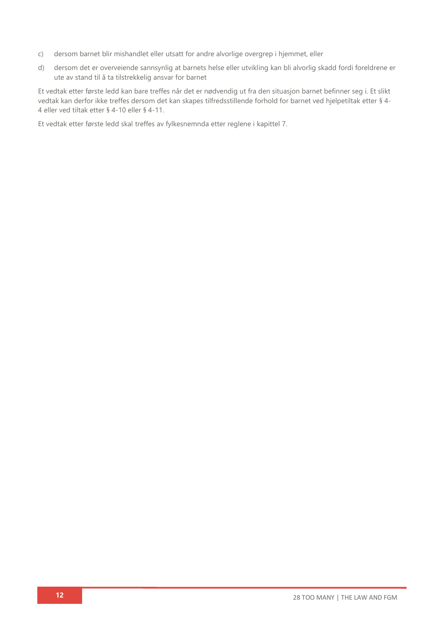- c) dersom barnet blir mishandlet eller utsatt for andre alvorlige overgrep i hjemmet, eller
- d) dersom det er overveiende sannsynlig at barnets helse eller utvikling kan bli alvorlig skadd fordi foreldrene er ute av stand til å ta tilstrekkelig ansvar for barnet

Et vedtak etter første ledd kan bare treffes når det er nødvendig ut fra den situasjon barnet befinner seg i. Et slikt vedtak kan derfor ikke treffes dersom det kan skapes tilfredsstillende forhold for barnet ved hjelpetiltak etter [§ 4-](about:blank) [4](about:blank) eller ved tiltak etter [§ 4-10](about:blank) eller [§ 4-11.](about:blank)

Et vedtak etter første ledd skal treffes av fylkesnemnda etter reglene i [kapittel 7.](about:blank)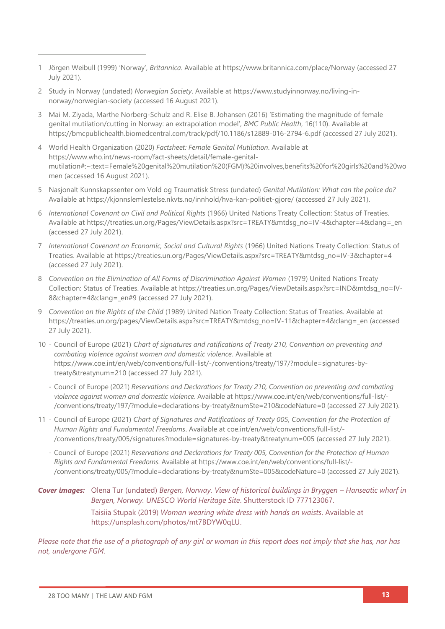- 1 [Jörgen Weibull](about:blank) (1999) 'Norway', *Britannica*. Available at<https://www.britannica.com/place/Norway> (accessed 27 July 2021).
- 2 Study in Norway (undated) *Norwegian Society*. Available at [https://www.studyinnorway.no/living-in](https://www.studyinnorway.no/living-in-norway/norwegian-society)[norway/norwegian-society](https://www.studyinnorway.no/living-in-norway/norwegian-society) (accessed 16 August 2021).
- 3 Mai M. Ziyada, Marthe Norberg-Schulz and R. Elise B. Johansen (2016) 'Estimating the magnitude of female genital mutilation/cutting in Norway: an extrapolation model', *BMC Public Health*, 16(110). Available at <https://bmcpublichealth.biomedcentral.com/track/pdf/10.1186/s12889-016-2794-6.pdf> (accessed 27 July 2021).
- 4 World Health Organization (2020) *Factsheet: Female Genital Mutilation*. Available at [https://www.who.int/news-room/fact-sheets/detail/female-genital](https://www.who.int/news-room/fact-sheets/detail/female-genital-mutilation#:~:text=Female%20genital%20mutilation%20(FGM)%20involves,benefits%20for%20girls%20and%20women)[mutilation#:~:text=Female%20genital%20mutilation%20\(FGM\)%20involves,benefits%20for%20girls%20and%20wo](https://www.who.int/news-room/fact-sheets/detail/female-genital-mutilation#:~:text=Female%20genital%20mutilation%20(FGM)%20involves,benefits%20for%20girls%20and%20women) [men](https://www.who.int/news-room/fact-sheets/detail/female-genital-mutilation#:~:text=Female%20genital%20mutilation%20(FGM)%20involves,benefits%20for%20girls%20and%20women) (accessed 16 August 2021).
- 5 Nasjonalt Kunnskapssenter om Vold og Traumatisk Stress (undated) *Genital Mutilation: What can the police do?* Available at<https://kjonnslemlestelse.nkvts.no/innhold/hva-kan-politiet-gjore/> (accessed 27 July 2021).
- 6 *International Covenant on Civil and Political Rights* (1966) United Nations Treaty Collection: Status of Treaties*.* Available at [https://treaties.un.org/Pages/ViewDetails.aspx?src=TREATY&mtdsg\\_no=IV-4&chapter=4&clang=\\_en](https://treaties.un.org/Pages/ViewDetails.aspx?src=TREATY&mtdsg_no=IV-4&chapter=4&clang=_en) (accessed 27 July 2021).
- 7 *International Covenant on Economic, Social and Cultural Rights* (1966) United Nations Treaty Collection: Status of Treaties. Available at [https://treaties.un.org/Pages/ViewDetails.aspx?src=TREATY&mtdsg\\_no=IV-3&chapter=4](https://treaties.un.org/Pages/ViewDetails.aspx?src=TREATY&mtdsg_no=IV-3&chapter=4) (accessed 27 July 2021).
- 8 Convention on the Elimination of All Forms of Discrimination Against Women (1979) United Nations Treaty Collection: Status of Treaties. Available at [https://treaties.un.org/Pages/ViewDetails.aspx?src=IND&mtdsg\\_no=IV-](https://treaties.un.org/Pages/ViewDetails.aspx?src=IND&mtdsg_no=IV-8&chapter=4&clang=_en#9)8&chapter=4&clang= en#9 (accessed 27 July 2021).
- 9 *Convention on the Rights of the Child* (1989) United Nation Treaty Collection: Status of Treaties. Available at [https://treaties.un.org/pages/ViewDetails.aspx?src=TREATY&mtdsg\\_no=IV-11&chapter=4&clang=\\_en](https://treaties.un.org/pages/ViewDetails.aspx?src=TREATY&mtdsg_no=IV-11&chapter=4&clang=_en) (accessed 27 July 2021).
- 10 Council of Europe (2021) *Chart of signatures and ratifications of Treaty 210, Convention on preventing and combating violence against women and domestic violence*. Available at [https://www.coe.int/en/web/conventions/full-list/-/conventions/treaty/197/?module=signatures-by](https://www.coe.int/en/web/conventions/full-list/-/conventions/treaty/197/?module=signatures-by-treaty&treatynum=210)[treaty&treatynum=210](https://www.coe.int/en/web/conventions/full-list/-/conventions/treaty/197/?module=signatures-by-treaty&treatynum=210) (accessed 27 July 2021).
	- Council of Europe (2021) *Reservations and Declarations for Treaty 210, Convention on preventing and combating violence against women and domestic violence*. Available at [https://www.coe.int/en/web/conventions/full-list/-](https://www.coe.int/en/web/conventions/full-list/-/conventions/treaty/197/?module=declarations-by-treaty&numSte=210&codeNature=0) [/conventions/treaty/197/?module=declarations-by-treaty&numSte=210&codeNature=0](https://www.coe.int/en/web/conventions/full-list/-/conventions/treaty/197/?module=declarations-by-treaty&numSte=210&codeNature=0) (accessed 27 July 2021).
- 11 Council of Europe (2021) *Chart of Signatures and Ratifications of Treaty 005, Convention for the Protection of Human Rights and Fundamental Freedoms*. Available at [coe.int/en/web/conventions/full-list/-](coe.int/en/web/conventions/full-list/-/conventions/treaty/005/signatures?module=signatures-by-treaty&treatynum=005) [/conventions/treaty/005/signatures?module=signatures-by-treaty&treatynum=005](coe.int/en/web/conventions/full-list/-/conventions/treaty/005/signatures?module=signatures-by-treaty&treatynum=005) (accessed 27 July 2021).
	- Council of Europe (2021) *Reservations and Declarations for Treaty 005, Convention for the Protection of Human Rights and Fundamental Freedoms*. Available at [https://www.coe.int/en/web/conventions/full-list/-](https://www.coe.int/en/web/conventions/full-list/-/conventions/treaty/005/?module=declarations-by-treaty&numSte=005&codeNature=0) [/conventions/treaty/005/?module=declarations-by-treaty&numSte=005&codeNature=0](https://www.coe.int/en/web/conventions/full-list/-/conventions/treaty/005/?module=declarations-by-treaty&numSte=005&codeNature=0) (accessed 27 July 2021).

*Cover images:* Olena Tur (undated) *Bergen, Norway. View of historical buildings in Bryggen – Hanseatic wharf in Bergen, Norway. UNESCO World Heritage Site*. Shutterstock ID 777123067. Taisiia Stupak (2019) *Woman wearing white dress with hands on waists*. Available at [https://unsplash.com/photos/mt7BDYW0qLU.](https://unsplash.com/photos/mt7BDYW0qLU)

*Please note that the use of a photograph of any girl or woman in this report does not imply that she has, nor has not, undergone FGM.*